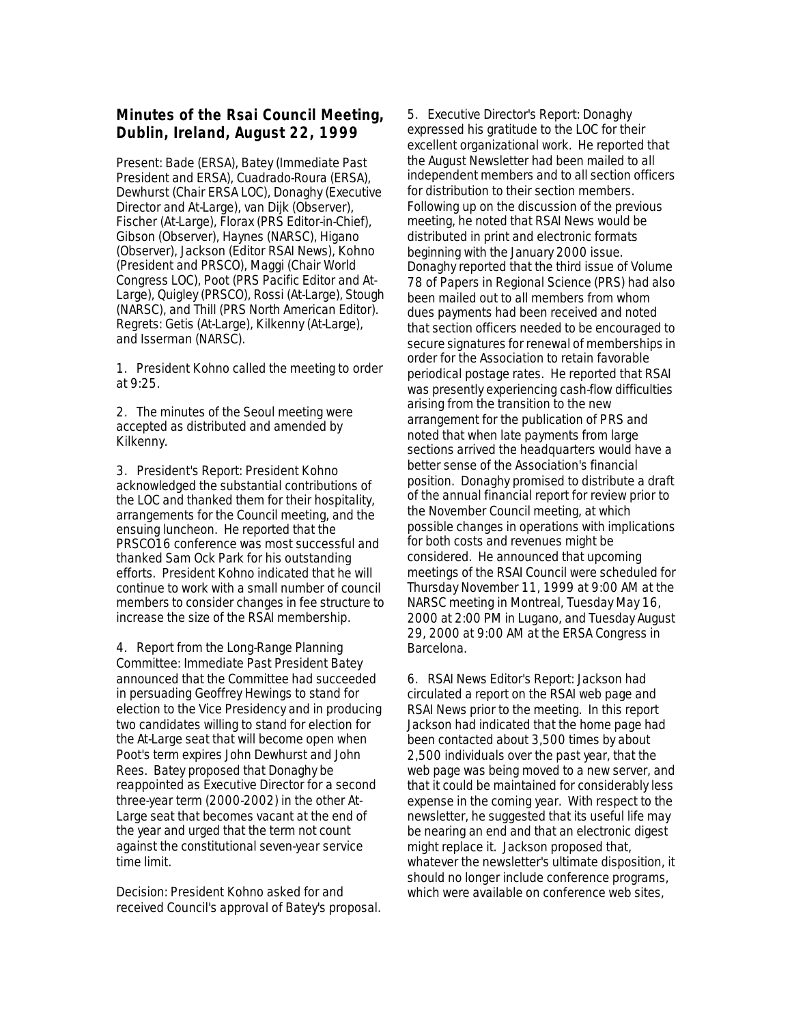## **Minutes of the Rsai Council Meeting, Dublin, Ireland, August 22, 1999**

Present: Bade (ERSA), Batey (Immediate Past President and ERSA), Cuadrado-Roura (ERSA), Dewhurst (Chair ERSA LOC), Donaghy (Executive Director and At-Large), van Dijk (Observer), Fischer (At-Large), Florax (PRS Editor-in-Chief), Gibson (Observer), Haynes (NARSC), Higano (Observer), Jackson (Editor RSAI News), Kohno (President and PRSCO), Maggi (Chair World Congress LOC), Poot (PRS Pacific Editor and At-Large), Quigley (PRSCO), Rossi (At-Large), Stough (NARSC), and Thill (PRS North American Editor). Regrets: Getis (At-Large), Kilkenny (At-Large), and Isserman (NARSC).

1. President Kohno called the meeting to order at 9:25.

2. The minutes of the Seoul meeting were accepted as distributed and amended by Kilkenny.

3. President's Report: President Kohno acknowledged the substantial contributions of the LOC and thanked them for their hospitality, arrangements for the Council meeting, and the ensuing luncheon. He reported that the PRSCO16 conference was most successful and thanked Sam Ock Park for his outstanding efforts. President Kohno indicated that he will continue to work with a small number of council members to consider changes in fee structure to increase the size of the RSAI membership.

4. Report from the Long-Range Planning Committee: Immediate Past President Batey announced that the Committee had succeeded in persuading Geoffrey Hewings to stand for election to the Vice Presidency and in producing two candidates willing to stand for election for the At-Large seat that will become open when Poot's term expires John Dewhurst and John Rees. Batey proposed that Donaghy be reappointed as Executive Director for a second three-year term (2000-2002) in the other At-Large seat that becomes vacant at the end of the year and urged that the term not count against the constitutional seven-year service time limit.

Decision: President Kohno asked for and received Council's approval of Batey's proposal. 5. Executive Director's Report: Donaghy expressed his gratitude to the LOC for their excellent organizational work. He reported that the August Newsletter had been mailed to all independent members and to all section officers for distribution to their section members. Following up on the discussion of the previous meeting, he noted that RSAI News would be distributed in print and electronic formats beginning with the January 2000 issue. Donaghy reported that the third issue of Volume 78 of Papers in Regional Science (PRS) had also been mailed out to all members from whom dues payments had been received and noted that section officers needed to be encouraged to secure signatures for renewal of memberships in order for the Association to retain favorable periodical postage rates. He reported that RSAI was presently experiencing cash-flow difficulties arising from the transition to the new arrangement for the publication of PRS and noted that when late payments from large sections arrived the headquarters would have a better sense of the Association's financial position. Donaghy promised to distribute a draft of the annual financial report for review prior to the November Council meeting, at which possible changes in operations with implications for both costs and revenues might be considered. He announced that upcoming meetings of the RSAI Council were scheduled for Thursday November 11, 1999 at 9:00 AM at the NARSC meeting in Montreal, Tuesday May 16, 2000 at 2:00 PM in Lugano, and Tuesday August 29, 2000 at 9:00 AM at the ERSA Congress in Barcelona.

6. RSAI News Editor's Report: Jackson had circulated a report on the RSAI web page and RSAI News prior to the meeting. In this report Jackson had indicated that the home page had been contacted about 3,500 times by about 2,500 individuals over the past year, that the web page was being moved to a new server, and that it could be maintained for considerably less expense in the coming year. With respect to the newsletter, he suggested that its useful life may be nearing an end and that an electronic digest might replace it. Jackson proposed that, whatever the newsletter's ultimate disposition, it should no longer include conference programs, which were available on conference web sites,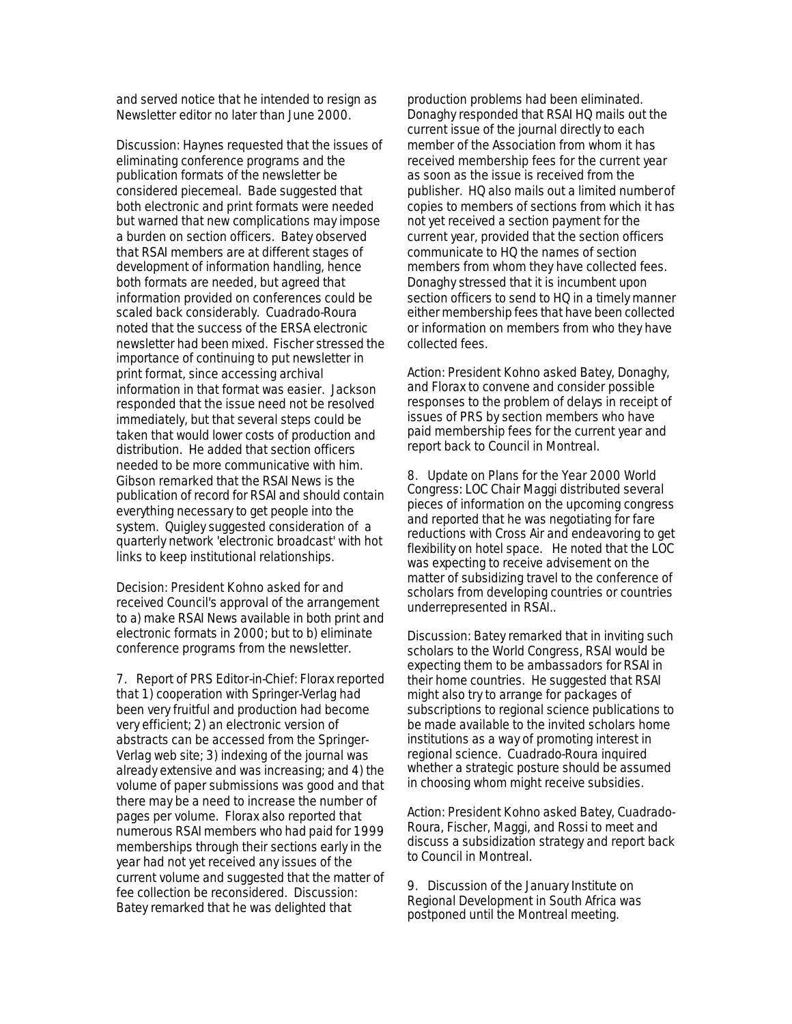and served notice that he intended to resign as Newsletter editor no later than June 2000.

Discussion: Haynes requested that the issues of eliminating conference programs and the publication formats of the newsletter be considered piecemeal. Bade suggested that both electronic and print formats were needed but warned that new complications may impose a burden on section officers. Batey observed that RSAI members are at different stages of development of information handling, hence both formats are needed, but agreed that information provided on conferences could be scaled back considerably. Cuadrado-Roura noted that the success of the ERSA electronic newsletter had been mixed. Fischer stressed the importance of continuing to put newsletter in print format, since accessing archival information in that format was easier. Jackson responded that the issue need not be resolved immediately, but that several steps could be taken that would lower costs of production and distribution. He added that section officers needed to be more communicative with him. Gibson remarked that the RSAI News is the publication of record for RSAI and should contain everything necessary to get people into the system. Quigley suggested consideration of a quarterly network 'electronic broadcast' with hot links to keep institutional relationships.

Decision: President Kohno asked for and received Council's approval of the arrangement to a) make RSAI News available in both print and electronic formats in 2000; but to b) eliminate conference programs from the newsletter.

7. Report of PRS Editor-in-Chief: Florax reported that 1) cooperation with Springer-Verlag had been very fruitful and production had become very efficient; 2) an electronic version of abstracts can be accessed from the Springer-Verlag web site; 3) indexing of the journal was already extensive and was increasing; and 4) the volume of paper submissions was good and that there may be a need to increase the number of pages per volume. Florax also reported that numerous RSAI members who had paid for 1999 memberships through their sections early in the year had not yet received any issues of the current volume and suggested that the matter of fee collection be reconsidered. Discussion: Batey remarked that he was delighted that

production problems had been eliminated. Donaghy responded that RSAI HQ mails out the current issue of the journal directly to each member of the Association from whom it has received membership fees for the current year as soon as the issue is received from the publisher. HQ also mails out a limited number of copies to members of sections from which it has not yet received a section payment for the current year, provided that the section officers communicate to HQ the names of section members from whom they have collected fees. Donaghy stressed that it is incumbent upon section officers to send to HQ in a timely manner either membership fees that have been collected or information on members from who they have collected fees.

Action: President Kohno asked Batey, Donaghy, and Florax to convene and consider possible responses to the problem of delays in receipt of issues of PRS by section members who have paid membership fees for the current year and report back to Council in Montreal.

8. Update on Plans for the Year 2000 World Congress: LOC Chair Maggi distributed several pieces of information on the upcoming congress and reported that he was negotiating for fare reductions with Cross Air and endeavoring to get flexibility on hotel space. He noted that the LOC was expecting to receive advisement on the matter of subsidizing travel to the conference of scholars from developing countries or countries underrepresented in RSAI..

Discussion: Batey remarked that in inviting such scholars to the World Congress, RSAI would be expecting them to be ambassadors for RSAI in their home countries. He suggested that RSAI might also try to arrange for packages of subscriptions to regional science publications to be made available to the invited scholars home institutions as a way of promoting interest in regional science. Cuadrado-Roura inquired whether a strategic posture should be assumed in choosing whom might receive subsidies.

Action: President Kohno asked Batey, Cuadrado-Roura, Fischer, Maggi, and Rossi to meet and discuss a subsidization strategy and report back to Council in Montreal.

9. Discussion of the January Institute on Regional Development in South Africa was postponed until the Montreal meeting.